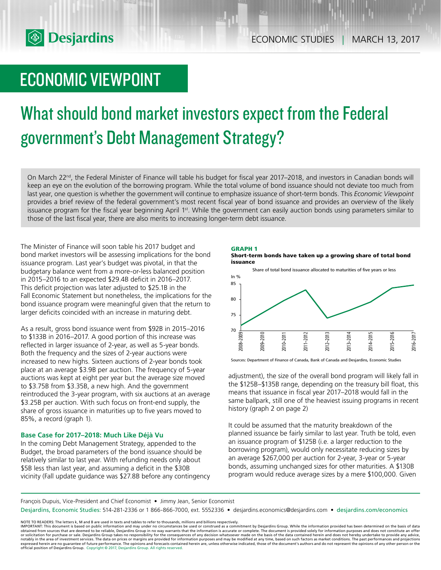

# ECONOMIC VIEWPOINT

# What should bond market investors expect from the Federal government's Debt Management Strategy?

On March 22<sup>nd</sup>, the Federal Minister of Finance will table his budget for fiscal year 2017–2018, and investors in Canadian bonds will keep an eye on the evolution of the borrowing program. While the total volume of bond issuance should not deviate too much from last year, one question is whether the government will continue to emphasize issuance of short-term bonds. This *Economic Viewpoint* provides a brief review of the federal government's most recent fiscal year of bond issuance and provides an overview of the likely issuance program for the fiscal year beginning April 1<sup>st</sup>. While the government can easily auction bonds using parameters similar to those of the last fiscal year, there are also merits to increasing longer-term debt issuance.

The Minister of Finance will soon table his 2017 budget and bond market investors will be assessing implications for the bond issuance program. Last year's budget was pivotal, in that the budgetary balance went from a more-or-less balanced position in 2015–2016 to an expected \$29.4B deficit in 2016–2017. This deficit projection was later adjusted to \$25.1B in the Fall Economic Statement but nonetheless, the implications for the bond issuance program were meaningful given that the return to larger deficits coincided with an increase in maturing debt.

As a result, gross bond issuance went from \$92B in 2015–2016 to \$133B in 2016–2017. A good portion of this increase was reflected in larger issuance of 2‑year, as well as 5‑year bonds. Both the frequency and the sizes of 2-year auctions were increased to new highs. Sixteen auctions of 2-year bonds took place at an average \$3.9B per auction. The frequency of 5-year auctions was kept at eight per year but the average size moved to \$3.75B from \$3.35B, a new high. And the government reintroduced the 3-year program, with six auctions at an average \$3.25B per auction. With such focus on front-end supply, the share of gross issuance in maturities up to five years moved to 85%, a record (graph 1).

# **Base Case for 2017–2018: Much Like Déjà Vu**

In the coming Debt Management Strategy, appended to the Budget, the broad parameters of the bond issuance should be relatively similar to last year. With refunding needs only about \$5B less than last year, and assuming a deficit in the \$30B vicinity (Fall update guidance was \$27.8B before any contingency







Sources: Department of Finance of Canada, Bank of Canada and Desjardins, Economic Studies

adjustment), the size of the overall bond program will likely fall in the \$125B–\$135B range, depending on the treasury bill float, this means that issuance in fiscal year 2017–2018 would fall in the same ballpark, still one of the heaviest issuing programs in recent history (graph 2 on page 2)

It could be assumed that the maturity breakdown of the planned issuance be fairly similar to last year. Truth be told, even an issuance program of \$125B (i.e. a larger reduction to the borrowing program), would only necessitate reducing sizes by an average \$267,000 per auction for 2-year, 3-year or 5-year bonds, assuming unchanged sizes for other maturities. A \$130B program would reduce average sizes by a mere \$100,000. Given

François Dupuis, Vice-President and Chief Economist • Jimmy Jean, Senior Economist

Desjardins, Economic Studies: 514-281-2336 or 1 866-866-7000, ext. 5552336 • desjardins.economics@desjardins.com • desjardins.com/economics

NOTE TO READERS: The letters k, M and B are used in texts and tables to refer to thousands, millions and billions respectively.<br>IMPORTANT: This document is based on public information and may under no circumstances be used obtained from sources that are deemed to be reliable, Desjardins Group in no way warrants that the information is accurate or complete. The document is provided solely for information purposes and does not constitute an of official position of Desjardins Group. Copyright © 2017, Desjardins Group. All rights reserved.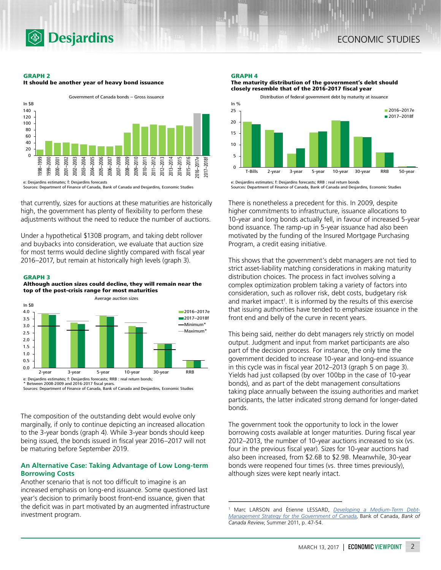

#### **GRAPH 2**





Sources: Department of Finance of Canada, Bank of Canada and Desjardins, Economic Studies

that currently, sizes for auctions at these maturities are historically high, the government has plenty of flexibility to perform these adjustments without the need to reduce the number of auctions.

Under a hypothetical \$130B program, and taking debt rollover and buybacks into consideration, we evaluate that auction size for most terms would decline slightly compared with fiscal year 2016–2017, but remain at historically high levels (graph 3).

#### **GRAPH 3**

1.0





 $0.0$ 0.5 2-year 3-year 5-year 10-year 30-year RRB e: Desjardins estimates; f: Desjardins forecasts; RRB : real return bonds; Between 2008-2009 and 2016-2017 fiscal years.

Sources: Department of Finance of Canada, Bank of Canada and Desjardins, Economic Studies

The composition of the outstanding debt would evolve only marginally, if only to continue depicting an increased allocation to the 3-year bonds (graph 4). While 3-year bonds should keep being issued, the bonds issued in fiscal year 2016–2017 will not be maturing before September 2019.

## **An Alternative Case: Taking Advantage of Low Long-term Borrowing Costs**

Another scenario that is not too difficult to imagine is an increased emphasis on long-end issuance. Some questioned last year's decision to primarily boost front-end issuance, given that the deficit was in part motivated by an augmented infrastructure investment program.

#### **GRAPH 4**

**The maturity distribution of the government's debt should closely resemble that of the 2016-2017 fiscal year**



e: Desjardins estimates; f: Desjardins forecasts; RRB : real return bonds Sources: Department of Finance of Canada, Bank of Canada and Desjardins, Economic Studies

There is nonetheless a precedent for this. In 2009, despite higher commitments to infrastructure, issuance allocations to 10-year and long bonds actually fell, in favour of increased 5-year bond issuance. The ramp-up in 5-year issuance had also been motivated by the funding of the Insured Mortgage Purchasing Program, a credit easing initiative.

This shows that the government's debt managers are not tied to strict asset-liability matching considerations in making maturity distribution choices. The process in fact involves solving a complex optimization problem taking a variety of factors into consideration, such as rollover risk, debt costs, budgetary risk and market impact<sup>1</sup>. It is informed by the results of this exercise that issuing authorities have tended to emphasize issuance in the front end and belly of the curve in recent years.

This being said, neither do debt managers rely strictly on model output. Judgment and input from market participants are also part of the decision process. For instance, the only time the government decided to increase 10-year and long-end issuance in this cycle was in fiscal year 2012–2013 (graph 5 on page 3). Yields had just collapsed (by over 100bp in the case of 10-year bonds), and as part of the debt management consultations taking place annually between the issuing authorities and market participants, the latter indicated strong demand for longer-dated bonds.

The government took the opportunity to lock in the lower borrowing costs available at longer maturities. During fiscal year 2012–2013, the number of 10-year auctions increased to six (vs. four in the previous fiscal year). Sizes for 10‑year auctions had also been increased, from \$2.6B to \$2.9B. Meanwhile, 30-year bonds were reopened four times (vs. three times previously), although sizes were kept nearly intact.

<sup>1</sup> Marc LARSON and Étienne LESSARD, *[Developing a Medium-Term Debt-](http://www.bankofcanada.ca/wp-content/uploads/2011/08/review_summer11.pdf)[Management Strategy for the Government of Canada](http://www.bankofcanada.ca/wp-content/uploads/2011/08/review_summer11.pdf)*, Bank of Canada, *Bank of Canada Review*, Summer 2011, p. 47-54.